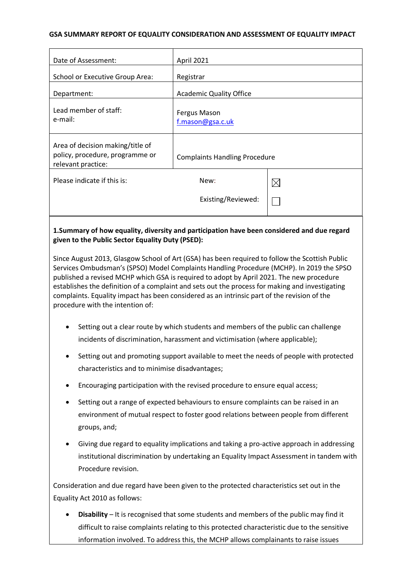#### **GSA SUMMARY REPORT OF EQUALITY CONSIDERATION AND ASSESSMENT OF EQUALITY IMPACT**

| Date of Assessment:                                                                       | April 2021                           |             |
|-------------------------------------------------------------------------------------------|--------------------------------------|-------------|
| School or Executive Group Area:                                                           | Registrar                            |             |
| Department:                                                                               | <b>Academic Quality Office</b>       |             |
| Lead member of staff:<br>e-mail:                                                          | Fergus Mason<br>f.mason@gsa.c.uk     |             |
| Area of decision making/title of<br>policy, procedure, programme or<br>relevant practice: | <b>Complaints Handling Procedure</b> |             |
| Please indicate if this is:                                                               | New:                                 | $\boxtimes$ |
|                                                                                           | Existing/Reviewed:                   |             |
|                                                                                           |                                      |             |

# **1.Summary of how equality, diversity and participation have been considered and due regard given to the Public Sector Equality Duty (PSED):**

Since August 2013, Glasgow School of Art (GSA) has been required to follow the Scottish Public Services Ombudsman's (SPSO) Model Complaints Handling Procedure (MCHP). In 2019 the SPSO published a revised MCHP which GSA is required to adopt by April 2021. The new procedure establishes the definition of a complaint and sets out the process for making and investigating complaints. Equality impact has been considered as an intrinsic part of the revision of the procedure with the intention of:

- Setting out a clear route by which students and members of the public can challenge incidents of discrimination, harassment and victimisation (where applicable);
- Setting out and promoting support available to meet the needs of people with protected characteristics and to minimise disadvantages;
- Encouraging participation with the revised procedure to ensure equal access;
- Setting out a range of expected behaviours to ensure complaints can be raised in an environment of mutual respect to foster good relations between people from different groups, and;
- Giving due regard to equality implications and taking a pro-active approach in addressing institutional discrimination by undertaking an Equality Impact Assessment in tandem with Procedure revision.

Consideration and due regard have been given to the protected characteristics set out in the Equality Act 2010 as follows:

• **Disability** – It is recognised that some students and members of the public may find it difficult to raise complaints relating to this protected characteristic due to the sensitive information involved. To address this, the MCHP allows complainants to raise issues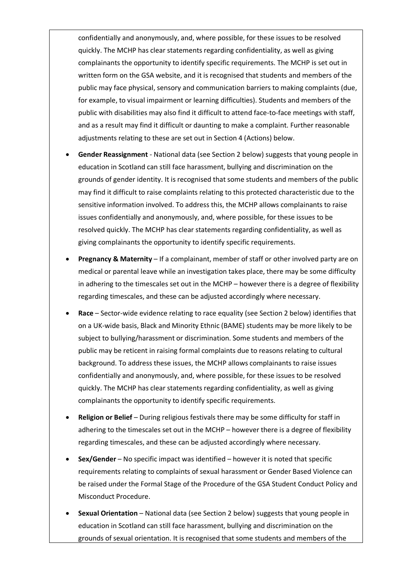confidentially and anonymously, and, where possible, for these issues to be resolved quickly. The MCHP has clear statements regarding confidentiality, as well as giving complainants the opportunity to identify specific requirements. The MCHP is set out in written form on the GSA website, and it is recognised that students and members of the public may face physical, sensory and communication barriers to making complaints (due, for example, to visual impairment or learning difficulties). Students and members of the public with disabilities may also find it difficult to attend face-to-face meetings with staff, and as a result may find it difficult or daunting to make a complaint. Further reasonable adjustments relating to these are set out in Section 4 (Actions) below.

- **Gender Reassignment** National data (see Section 2 below) suggests that young people in education in Scotland can still face harassment, bullying and discrimination on the grounds of gender identity. It is recognised that some students and members of the public may find it difficult to raise complaints relating to this protected characteristic due to the sensitive information involved. To address this, the MCHP allows complainants to raise issues confidentially and anonymously, and, where possible, for these issues to be resolved quickly. The MCHP has clear statements regarding confidentiality, as well as giving complainants the opportunity to identify specific requirements.
- **Pregnancy & Maternity** If a complainant, member of staff or other involved party are on medical or parental leave while an investigation takes place, there may be some difficulty in adhering to the timescales set out in the MCHP – however there is a degree of flexibility regarding timescales, and these can be adjusted accordingly where necessary.
- **Race** Sector-wide evidence relating to race equality (see Section 2 below) identifies that on a UK-wide basis, Black and Minority Ethnic (BAME) students may be more likely to be subject to bullying/harassment or discrimination. Some students and members of the public may be reticent in raising formal complaints due to reasons relating to cultural background. To address these issues, the MCHP allows complainants to raise issues confidentially and anonymously, and, where possible, for these issues to be resolved quickly. The MCHP has clear statements regarding confidentiality, as well as giving complainants the opportunity to identify specific requirements.
- **Religion or Belief** During religious festivals there may be some difficulty for staff in adhering to the timescales set out in the MCHP – however there is a degree of flexibility regarding timescales, and these can be adjusted accordingly where necessary.
- **Sex/Gender** No specific impact was identified however it is noted that specific requirements relating to complaints of sexual harassment or Gender Based Violence can be raised under the Formal Stage of the Procedure of the GSA Student Conduct Policy and Misconduct Procedure.
- **Sexual Orientation** National data (see Section 2 below) suggests that young people in education in Scotland can still face harassment, bullying and discrimination on the grounds of sexual orientation. It is recognised that some students and members of the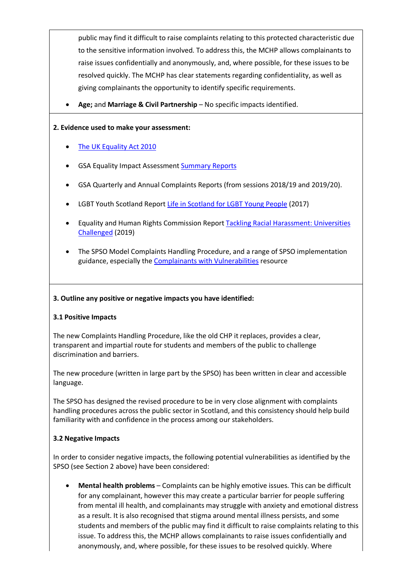public may find it difficult to raise complaints relating to this protected characteristic due to the sensitive information involved. To address this, the MCHP allows complainants to raise issues confidentially and anonymously, and, where possible, for these issues to be resolved quickly. The MCHP has clear statements regarding confidentiality, as well as giving complainants the opportunity to identify specific requirements.

• **Age;** and **Marriage & Civil Partnership** – No specific impacts identified.

#### **2. Evidence used to make your assessment:**

- The UK Equality Act 2010
- GSA Equality Impact Assessmen[t Summary Reports](https://www.gsa.ac.uk/about-gsa/key-information/equality/mainstreaming-equality/equality-impact-assessment-summary-reports/)
- GSA Quarterly and Annual Complaints Reports (from sessions 2018/19 and 2019/20).
- LGBT Youth Scotland Report [Life in Scotland for LGBT Young People](https://www.lgbtyouth.org.uk/media/1354/life-in-scotland-for-lgbt-young-people.pdf) (2017)
- Equality and Human Rights Commission Report [Tackling Racial Harassment: Universities](https://www.equalityhumanrights.com/en/publication-download/tackling-racial-harassment-universities-challenged)  [Challenged](https://www.equalityhumanrights.com/en/publication-download/tackling-racial-harassment-universities-challenged) (2019)
- The SPSO Model Complaints Handling Procedure, and a range of SPSO implementation guidance, especially th[e Complainants with Vulnerabilities](https://www.spso.org.uk/sites/spso/files/csa/Complainants%20with%20Vulnerabilities.pdf) resource

# **3. Outline any positive or negative impacts you have identified:**

# **3.1 Positive Impacts**

The new Complaints Handling Procedure, like the old CHP it replaces, provides a clear, transparent and impartial route for students and members of the public to challenge discrimination and barriers.

The new procedure (written in large part by the SPSO) has been written in clear and accessible language.

The SPSO has designed the revised procedure to be in very close alignment with complaints handling procedures across the public sector in Scotland, and this consistency should help build familiarity with and confidence in the process among our stakeholders.

# **3.2 Negative Impacts**

In order to consider negative impacts, the following potential vulnerabilities as identified by the SPSO (see Section 2 above) have been considered:

• **Mental health problems** – Complaints can be highly emotive issues. This can be difficult for any complainant, however this may create a particular barrier for people suffering from mental ill health, and complainants may struggle with anxiety and emotional distress as a result. It is also recognised that stigma around mental illness persists, and some students and members of the public may find it difficult to raise complaints relating to this issue. To address this, the MCHP allows complainants to raise issues confidentially and anonymously, and, where possible, for these issues to be resolved quickly. Where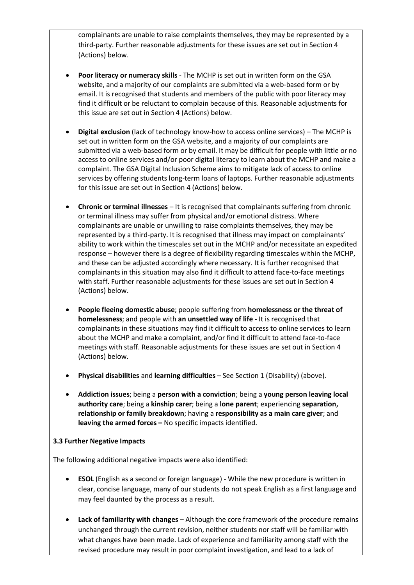complainants are unable to raise complaints themselves, they may be represented by a third-party. Further reasonable adjustments for these issues are set out in Section 4 (Actions) below.

- **Poor literacy or numeracy skills** The MCHP is set out in written form on the GSA website, and a majority of our complaints are submitted via a web-based form or by email. It is recognised that students and members of the public with poor literacy may find it difficult or be reluctant to complain because of this. Reasonable adjustments for this issue are set out in Section 4 (Actions) below.
- **Digital exclusion** (lack of technology know-how to access online services) The MCHP is set out in written form on the GSA website, and a majority of our complaints are submitted via a web-based form or by email. It may be difficult for people with little or no access to online services and/or poor digital literacy to learn about the MCHP and make a complaint. The GSA Digital Inclusion Scheme aims to mitigate lack of access to online services by offering students long-term loans of laptops. Further reasonable adjustments for this issue are set out in Section 4 (Actions) below.
- **Chronic or terminal illnesses** It is recognised that complainants suffering from chronic or terminal illness may suffer from physical and/or emotional distress. Where complainants are unable or unwilling to raise complaints themselves, they may be represented by a third-party. It is recognised that illness may impact on complainants' ability to work within the timescales set out in the MCHP and/or necessitate an expedited response – however there is a degree of flexibility regarding timescales within the MCHP, and these can be adjusted accordingly where necessary. It is further recognised that complainants in this situation may also find it difficult to attend face-to-face meetings with staff. Further reasonable adjustments for these issues are set out in Section 4 (Actions) below.
- **People fleeing domestic abuse**; people suffering from **homelessness or the threat of homelessness**; and people with **an unsettled way of life -** It is recognised that complainants in these situations may find it difficult to access to online services to learn about the MCHP and make a complaint, and/or find it difficult to attend face-to-face meetings with staff. Reasonable adjustments for these issues are set out in Section 4 (Actions) below.
- **Physical disabilities** and **learning difficulties** See Section 1 (Disability) (above).
- **Addiction issues**; being a **person with a conviction**; being a **young person leaving local authority care**; being a **kinship carer**; being a **lone parent**; experiencing **separation, relationship or family breakdown**; having a **responsibility as a main care giver**; and **leaving the armed forces –** No specific impacts identified.

# **3.3 Further Negative Impacts**

The following additional negative impacts were also identified:

- **ESOL** (English as a second or foreign language) While the new procedure is written in clear, concise language, many of our students do not speak English as a first language and may feel daunted by the process as a result.
- **Lack of familiarity with changes**  Although the core framework of the procedure remains unchanged through the current revision, neither students nor staff will be familiar with what changes have been made. Lack of experience and familiarity among staff with the revised procedure may result in poor complaint investigation, and lead to a lack of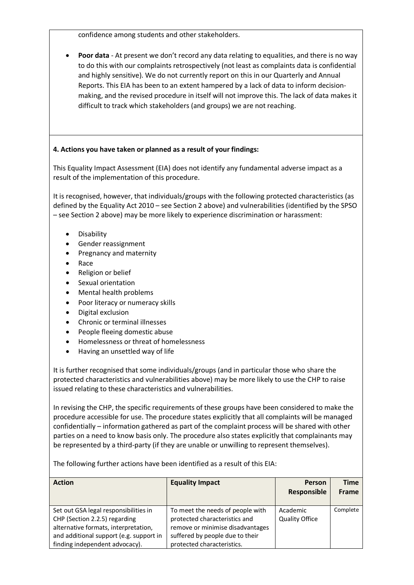confidence among students and other stakeholders.

• **Poor data** - At present we don't record any data relating to equalities, and there is no way to do this with our complaints retrospectively (not least as complaints data is confidential and highly sensitive). We do not currently report on this in our Quarterly and Annual Reports. This EIA has been to an extent hampered by a lack of data to inform decisionmaking, and the revised procedure in itself will not improve this. The lack of data makes it difficult to track which stakeholders (and groups) we are not reaching.

### **4. Actions you have taken or planned as a result of your findings:**

This Equality Impact Assessment (EIA) does not identify any fundamental adverse impact as a result of the implementation of this procedure.

It is recognised, however, that individuals/groups with the following protected characteristics (as defined by the Equality Act 2010 – see Section 2 above) and vulnerabilities (identified by the SPSO – see Section 2 above) may be more likely to experience discrimination or harassment:

- Disability
- Gender reassignment
- Pregnancy and maternity
- Race
- Religion or belief
- Sexual orientation
- Mental health problems
- Poor literacy or numeracy skills
- Digital exclusion
- Chronic or terminal illnesses
- People fleeing domestic abuse
- Homelessness or threat of homelessness
- Having an unsettled way of life

It is further recognised that some individuals/groups (and in particular those who share the protected characteristics and vulnerabilities above) may be more likely to use the CHP to raise issued relating to these characteristics and vulnerabilities.

In revising the CHP, the specific requirements of these groups have been considered to make the procedure accessible for use. The procedure states explicitly that all complaints will be managed confidentially – information gathered as part of the complaint process will be shared with other parties on a need to know basis only. The procedure also states explicitly that complainants may be represented by a third-party (if they are unable or unwilling to represent themselves).

The following further actions have been identified as a result of this EIA:

| <b>Action</b>                                                                                                                                                                               | <b>Equality Impact</b>                                                                                                                                                 | <b>Person</b><br><b>Responsible</b> | Time<br>Frame |
|---------------------------------------------------------------------------------------------------------------------------------------------------------------------------------------------|------------------------------------------------------------------------------------------------------------------------------------------------------------------------|-------------------------------------|---------------|
| Set out GSA legal responsibilities in<br>CHP (Section 2.2.5) regarding<br>alternative formats, interpretation,<br>and additional support (e.g. support in<br>finding independent advocacy). | To meet the needs of people with<br>protected characteristics and<br>remove or minimise disadvantages<br>suffered by people due to their<br>protected characteristics. | Academic<br><b>Quality Office</b>   | Complete      |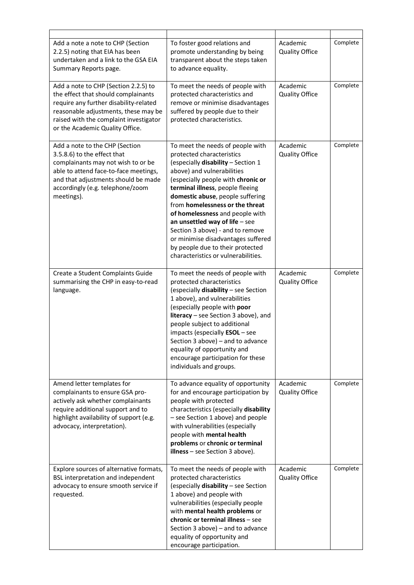| Add a note a note to CHP (Section<br>2.2.5) noting that EIA has been<br>undertaken and a link to the GSA EIA<br>Summary Reports page.                                                                                                      | To foster good relations and<br>promote understanding by being<br>transparent about the steps taken<br>to advance equality.                                                                                                                                                                                                                                                                                                                                                                                    | Academic<br><b>Quality Office</b> | Complete |
|--------------------------------------------------------------------------------------------------------------------------------------------------------------------------------------------------------------------------------------------|----------------------------------------------------------------------------------------------------------------------------------------------------------------------------------------------------------------------------------------------------------------------------------------------------------------------------------------------------------------------------------------------------------------------------------------------------------------------------------------------------------------|-----------------------------------|----------|
| Add a note to CHP (Section 2.2.5) to<br>the effect that should complainants<br>require any further disability-related<br>reasonable adjustments, these may be<br>raised with the complaint investigator<br>or the Academic Quality Office. | To meet the needs of people with<br>protected characteristics and<br>remove or minimise disadvantages<br>suffered by people due to their<br>protected characteristics.                                                                                                                                                                                                                                                                                                                                         | Academic<br><b>Quality Office</b> | Complete |
| Add a note to the CHP (Section<br>3.5.8.6) to the effect that<br>complainants may not wish to or be<br>able to attend face-to-face meetings,<br>and that adjustments should be made<br>accordingly (e.g. telephone/zoom<br>meetings).      | To meet the needs of people with<br>protected characteristics<br>(especially disability - Section 1<br>above) and vulnerabilities<br>(especially people with chronic or<br>terminal illness, people fleeing<br>domestic abuse, people suffering<br>from homelessness or the threat<br>of homelessness and people with<br>an unsettled way of life $-$ see<br>Section 3 above) - and to remove<br>or minimise disadvantages suffered<br>by people due to their protected<br>characteristics or vulnerabilities. | Academic<br><b>Quality Office</b> | Complete |
| Create a Student Complaints Guide<br>summarising the CHP in easy-to-read<br>language.                                                                                                                                                      | To meet the needs of people with<br>protected characteristics<br>(especially disability - see Section<br>1 above), and vulnerabilities<br>(especially people with poor<br>literacy - see Section 3 above), and<br>people subject to additional<br>impacts (especially ESOL - see<br>Section 3 above) - and to advance<br>equality of opportunity and<br>encourage participation for these<br>individuals and groups.                                                                                           | Academic<br><b>Quality Office</b> | Complete |
| Amend letter templates for<br>complainants to ensure GSA pro-<br>actively ask whether complainants<br>require additional support and to<br>highlight availability of support (e.g.<br>advocacy, interpretation).                           | To advance equality of opportunity<br>for and encourage participation by<br>people with protected<br>characteristics (especially disability<br>- see Section 1 above) and people<br>with vulnerabilities (especially<br>people with mental health<br>problems or chronic or terminal<br>illness $-$ see Section 3 above).                                                                                                                                                                                      | Academic<br><b>Quality Office</b> | Complete |
| Explore sources of alternative formats,<br>BSL interpretation and independent<br>advocacy to ensure smooth service if<br>requested.                                                                                                        | To meet the needs of people with<br>protected characteristics<br>(especially disability - see Section<br>1 above) and people with<br>vulnerabilities (especially people<br>with mental health problems or<br>chronic or terminal illness - see<br>Section 3 above) - and to advance<br>equality of opportunity and<br>encourage participation.                                                                                                                                                                 | Academic<br><b>Quality Office</b> | Complete |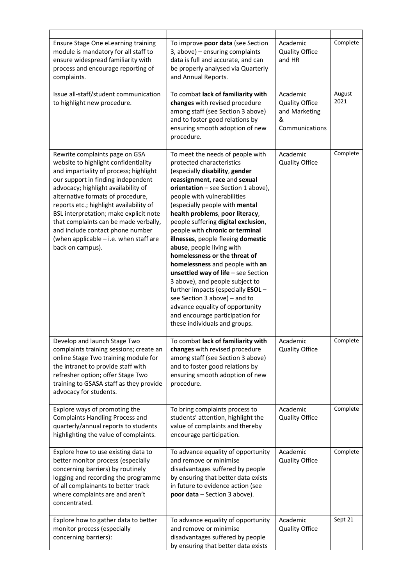| Ensure Stage One eLearning training<br>module is mandatory for all staff to<br>ensure widespread familiarity with<br>process and encourage reporting of<br>complaints.                                                                                                                                                                                                                                                                                             | To improve poor data (see Section<br>3, above) - ensuring complaints<br>data is full and accurate, and can<br>be properly analysed via Quarterly<br>and Annual Reports.                                                                                                                                                                                                                                                                                                                                                                                                                                                                                                                                                                                | Academic<br><b>Quality Office</b><br>and HR                               | Complete       |
|--------------------------------------------------------------------------------------------------------------------------------------------------------------------------------------------------------------------------------------------------------------------------------------------------------------------------------------------------------------------------------------------------------------------------------------------------------------------|--------------------------------------------------------------------------------------------------------------------------------------------------------------------------------------------------------------------------------------------------------------------------------------------------------------------------------------------------------------------------------------------------------------------------------------------------------------------------------------------------------------------------------------------------------------------------------------------------------------------------------------------------------------------------------------------------------------------------------------------------------|---------------------------------------------------------------------------|----------------|
| Issue all-staff/student communication<br>to highlight new procedure.                                                                                                                                                                                                                                                                                                                                                                                               | To combat lack of familiarity with<br>changes with revised procedure<br>among staff (see Section 3 above)<br>and to foster good relations by<br>ensuring smooth adoption of new<br>procedure.                                                                                                                                                                                                                                                                                                                                                                                                                                                                                                                                                          | Academic<br><b>Quality Office</b><br>and Marketing<br>&<br>Communications | August<br>2021 |
| Rewrite complaints page on GSA<br>website to highlight confidentiality<br>and impartiality of process; highlight<br>our support in finding independent<br>advocacy; highlight availability of<br>alternative formats of procedure,<br>reports etc.; highlight availability of<br>BSL interpretation; make explicit note<br>that complaints can be made verbally,<br>and include contact phone number<br>(when applicable - i.e. when staff are<br>back on campus). | To meet the needs of people with<br>protected characteristics<br>(especially disability, gender<br>reassignment, race and sexual<br>orientation - see Section 1 above),<br>people with vulnerabilities<br>(especially people with mental<br>health problems, poor literacy,<br>people suffering digital exclusion,<br>people with chronic or terminal<br>illnesses, people fleeing domestic<br>abuse, people living with<br>homelessness or the threat of<br>homelessness and people with an<br>unsettled way of life $-$ see Section<br>3 above), and people subject to<br>further impacts (especially ESOL -<br>see Section 3 above) - and to<br>advance equality of opportunity<br>and encourage participation for<br>these individuals and groups. | Academic<br><b>Quality Office</b>                                         | Complete       |
| Develop and launch Stage Two<br>complaints training sessions; create an<br>online Stage Two training module for<br>the intranet to provide staff with<br>refresher option; offer Stage Two<br>training to GSASA staff as they provide<br>advocacy for students.                                                                                                                                                                                                    | To combat lack of familiarity with<br>changes with revised procedure<br>among staff (see Section 3 above)<br>and to foster good relations by<br>ensuring smooth adoption of new<br>procedure.                                                                                                                                                                                                                                                                                                                                                                                                                                                                                                                                                          | Academic<br><b>Quality Office</b>                                         | Complete       |
| Explore ways of promoting the<br><b>Complaints Handling Process and</b><br>quarterly/annual reports to students<br>highlighting the value of complaints.                                                                                                                                                                                                                                                                                                           | To bring complaints process to<br>students' attention, highlight the<br>value of complaints and thereby<br>encourage participation.                                                                                                                                                                                                                                                                                                                                                                                                                                                                                                                                                                                                                    | Academic<br><b>Quality Office</b>                                         | Complete       |
| Explore how to use existing data to<br>better monitor process (especially<br>concerning barriers) by routinely<br>logging and recording the programme<br>of all complainants to better track<br>where complaints are and aren't<br>concentrated.                                                                                                                                                                                                                   | To advance equality of opportunity<br>and remove or minimise<br>disadvantages suffered by people<br>by ensuring that better data exists<br>in future to evidence action (see<br>poor data - Section 3 above).                                                                                                                                                                                                                                                                                                                                                                                                                                                                                                                                          | Academic<br><b>Quality Office</b>                                         | Complete       |
| Explore how to gather data to better<br>monitor process (especially<br>concerning barriers):                                                                                                                                                                                                                                                                                                                                                                       | To advance equality of opportunity<br>and remove or minimise<br>disadvantages suffered by people<br>by ensuring that better data exists                                                                                                                                                                                                                                                                                                                                                                                                                                                                                                                                                                                                                | Academic<br><b>Quality Office</b>                                         | Sept 21        |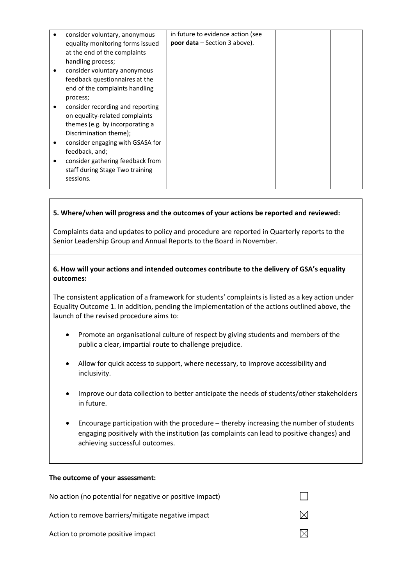|   | consider voluntary, anonymous    | in future to evidence action (see      |  |
|---|----------------------------------|----------------------------------------|--|
|   | equality monitoring forms issued | <b>poor data</b> $-$ Section 3 above). |  |
|   | at the end of the complaints     |                                        |  |
|   | handling process;                |                                        |  |
|   | consider voluntary anonymous     |                                        |  |
|   | feedback questionnaires at the   |                                        |  |
|   | end of the complaints handling   |                                        |  |
|   | process;                         |                                        |  |
|   | consider recording and reporting |                                        |  |
|   | on equality-related complaints   |                                        |  |
|   | themes (e.g. by incorporating a  |                                        |  |
|   | Discrimination theme);           |                                        |  |
| ٠ | consider engaging with GSASA for |                                        |  |
|   | feedback, and;                   |                                        |  |
|   | consider gathering feedback from |                                        |  |
|   | staff during Stage Two training  |                                        |  |
|   | sessions.                        |                                        |  |
|   |                                  |                                        |  |

### **5. Where/when will progress and the outcomes of your actions be reported and reviewed:**

Complaints data and updates to policy and procedure are reported in Quarterly reports to the Senior Leadership Group and Annual Reports to the Board in November.

#### **6. How will your actions and intended outcomes contribute to the delivery of GSA's equality outcomes:**

The consistent application of a framework for students' complaints is listed as a key action under Equality Outcome 1. In addition, pending the implementation of the actions outlined above, the launch of the revised procedure aims to:

- Promote an organisational culture of respect by giving students and members of the public a clear, impartial route to challenge prejudice.
- Allow for quick access to support, where necessary, to improve accessibility and inclusivity.
- Improve our data collection to better anticipate the needs of students/other stakeholders in future.
- Encourage participation with the procedure thereby increasing the number of students engaging positively with the institution (as complaints can lead to positive changes) and achieving successful outcomes.

#### **The outcome of your assessment:**

| No action (no potential for negative or positive impact) |  |
|----------------------------------------------------------|--|
| Action to remove barriers/mitigate negative impact       |  |
| Action to promote positive impact                        |  |